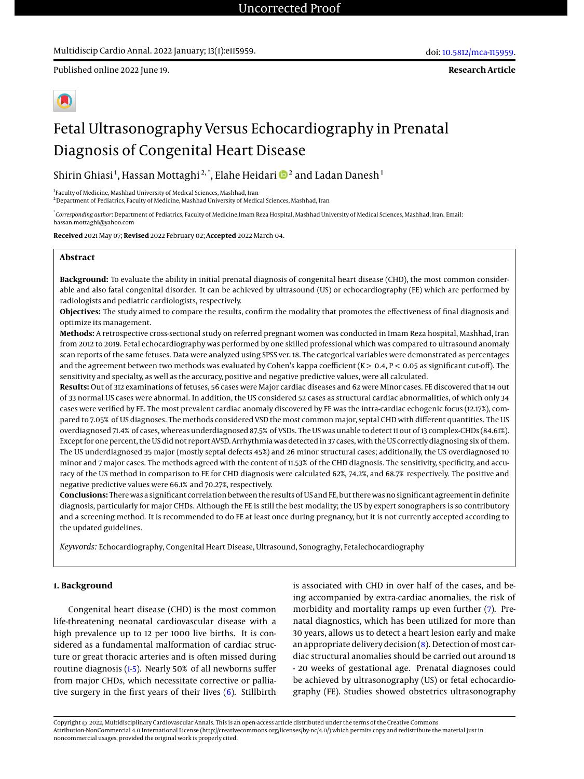Published online 2022 June 19.

**Research Article**



# Fetal Ultrasonography Versus Echocardiography in Prenatal Diagnosis of Congenital Heart Disease

Shirin Ghiasi<sup>1</sup>, Hassan Mottaghi<sup>2,\*</sup>, Elahe Heidari ®<sup>2</sup> and Ladan Danesh<sup>1</sup>

<sup>1</sup> Faculty of Medicine, Mashhad University of Medical Sciences, Mashhad, Iran

 $2$ Department of Pediatrics, Faculty of Medicine, Mashhad University of Medical Sciences, Mashhad, Iran

\* *Corresponding author*: Department of Pediatrics, Faculty of Medicine,Imam Reza Hospital, Mashhad University of Medical Sciences, Mashhad, Iran. Email: hassan.mottaghi@yahoo.com

**Received** 2021 May 07; **Revised** 2022 February 02; **Accepted** 2022 March 04.

# **Abstract**

**Background:** To evaluate the ability in initial prenatal diagnosis of congenital heart disease (CHD), the most common considerable and also fatal congenital disorder. It can be achieved by ultrasound (US) or echocardiography (FE) which are performed by radiologists and pediatric cardiologists, respectively.

**Objectives:** The study aimed to compare the results, confirm the modality that promotes the effectiveness of final diagnosis and optimize its management.

**Methods:** A retrospective cross-sectional study on referred pregnant women was conducted in Imam Reza hospital, Mashhad, Iran from 2012 to 2019. Fetal echocardiography was performed by one skilled professional which was compared to ultrasound anomaly scan reports of the same fetuses. Data were analyzed using SPSS ver. 18. The categorical variables were demonstrated as percentages and the agreement between two methods was evaluated by Cohen's kappa coefficient (K  $> 0.4$ , P  $< 0.05$  as significant cut-off). The sensitivity and specialty, as well as the accuracy, positive and negative predictive values, were all calculated.

**Results:** Out of 312 examinations of fetuses, 56 cases were Major cardiac diseases and 62 were Minor cases. FE discovered that 14 out of 33 normal US cases were abnormal. In addition, the US considered 52 cases as structural cardiac abnormalities, of which only 34 cases were verified by FE. The most prevalent cardiac anomaly discovered by FE was the intra-cardiac echogenic focus (12.17%), compared to 7.05% of US diagnoses. The methods considered VSD the most common major, septal CHD with different quantities. The US overdiagnosed 71.4% of cases, whereas underdiagnosed 87.5% of VSDs. The US was unable to detect 11 out of 13 complex-CHDs (84.61%). Except for one percent, the US did not report AVSD. Arrhythmia was detected in 37 cases, with the US correctly diagnosing six of them. The US underdiagnosed 35 major (mostly septal defects 45%) and 26 minor structural cases; additionally, the US overdiagnosed 10 minor and 7 major cases. The methods agreed with the content of 11.53% of the CHD diagnosis. The sensitivity, specificity, and accuracy of the US method in comparison to FE for CHD diagnosis were calculated 62%, 74.2%, and 68.7% respectively. The positive and negative predictive values were 66.1% and 70.27%, respectively.

**Conclusions:** There was a significant correlation between the results of US and FE, but there was no significant agreement in definite diagnosis, particularly for major CHDs. Although the FE is still the best modality; the US by expert sonographers is so contributory and a screening method. It is recommended to do FE at least once during pregnancy, but it is not currently accepted according to the updated guidelines.

*Keywords:* Echocardiography, Congenital Heart Disease, Ultrasound, Sonograghy, Fetalechocardiography

## **1. Background**

Congenital heart disease (CHD) is the most common life-threatening neonatal cardiovascular disease with a high prevalence up to 12 per 1000 live births. It is considered as a fundamental malformation of cardiac structure or great thoracic arteries and is often missed during routine diagnosis [\(1](#page-3-0)[-5\)](#page-4-0). Nearly 50% of all newborns suffer from major CHDs, which necessitate corrective or palliative surgery in the first years of their lives  $(6)$ . Stillbirth is associated with CHD in over half of the cases, and being accompanied by extra-cardiac anomalies, the risk of morbidity and mortality ramps up even further [\(7\)](#page-4-2). Prenatal diagnostics, which has been utilized for more than 30 years, allows us to detect a heart lesion early and make an appropriate delivery decision [\(8\)](#page-4-3). Detection of most cardiac structural anomalies should be carried out around 18 - 20 weeks of gestational age. Prenatal diagnoses could be achieved by ultrasonography (US) or fetal echocardiography (FE). Studies showed obstetrics ultrasonography

Copyright © 2022, Multidisciplinary Cardiovascular Annals. This is an open-access article distributed under the terms of the Creative Commons Attribution-NonCommercial 4.0 International License (http://creativecommons.org/licenses/by-nc/4.0/) which permits copy and redistribute the material just in noncommercial usages, provided the original work is properly cited.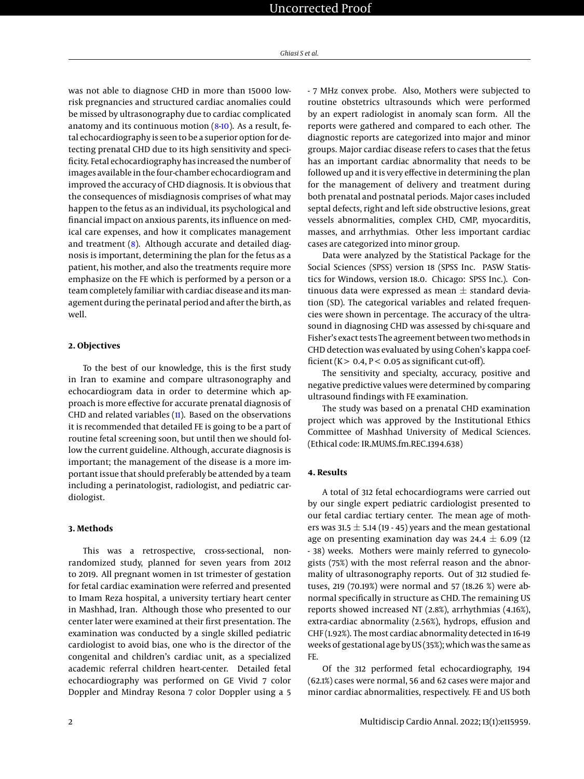was not able to diagnose CHD in more than 15000 lowrisk pregnancies and structured cardiac anomalies could be missed by ultrasonography due to cardiac complicated anatomy and its continuous motion [\(8](#page-4-3)[-10\)](#page-4-4). As a result, fetal echocardiography is seen to be a superior option for detecting prenatal CHD due to its high sensitivity and specificity. Fetal echocardiography has increased the number of images available in the four-chamber echocardiogram and improved the accuracy of CHD diagnosis. It is obvious that the consequences of misdiagnosis comprises of what may happen to the fetus as an individual, its psychological and financial impact on anxious parents, its influence on medical care expenses, and how it complicates management and treatment [\(8\)](#page-4-3). Although accurate and detailed diagnosis is important, determining the plan for the fetus as a patient, his mother, and also the treatments require more emphasize on the FE which is performed by a person or a team completely familiar with cardiac disease and its management during the perinatal period and after the birth, as well.

# **2. Objectives**

To the best of our knowledge, this is the first study in Iran to examine and compare ultrasonography and echocardiogram data in order to determine which approach is more effective for accurate prenatal diagnosis of CHD and related variables [\(11\)](#page-4-5). Based on the observations it is recommended that detailed FE is going to be a part of routine fetal screening soon, but until then we should follow the current guideline. Although, accurate diagnosis is important; the management of the disease is a more important issue that should preferably be attended by a team including a perinatologist, radiologist, and pediatric cardiologist.

#### **3. Methods**

This was a retrospective, cross-sectional, nonrandomized study, planned for seven years from 2012 to 2019. All pregnant women in 1st trimester of gestation for fetal cardiac examination were referred and presented to Imam Reza hospital, a university tertiary heart center in Mashhad, Iran. Although those who presented to our center later were examined at their first presentation. The examination was conducted by a single skilled pediatric cardiologist to avoid bias, one who is the director of the congenital and children's cardiac unit, as a specialized academic referral children heart-center. Detailed fetal echocardiography was performed on GE Vivid 7 color Doppler and Mindray Resona 7 color Doppler using a 5

- 7 MHz convex probe. Also, Mothers were subjected to routine obstetrics ultrasounds which were performed by an expert radiologist in anomaly scan form. All the reports were gathered and compared to each other. The diagnostic reports are categorized into major and minor groups. Major cardiac disease refers to cases that the fetus has an important cardiac abnormality that needs to be followed up and it is very effective in determining the plan for the management of delivery and treatment during both prenatal and postnatal periods. Major cases included septal defects, right and left side obstructive lesions, great vessels abnormalities, complex CHD, CMP, myocarditis, masses, and arrhythmias. Other less important cardiac cases are categorized into minor group.

Data were analyzed by the Statistical Package for the Social Sciences (SPSS) version 18 (SPSS Inc. PASW Statistics for Windows, version 18.0. Chicago: SPSS Inc.). Continuous data were expressed as mean  $\pm$  standard deviation (SD). The categorical variables and related frequencies were shown in percentage. The accuracy of the ultrasound in diagnosing CHD was assessed by chi-square and Fisher's exact tests The agreement between two methods in CHD detection was evaluated by using Cohen's kappa coefficient ( $K > 0.4$ ,  $P < 0.05$  as significant cut-off).

The sensitivity and specialty, accuracy, positive and negative predictive values were determined by comparing ultrasound findings with FE examination.

The study was based on a prenatal CHD examination project which was approved by the Institutional Ethics Committee of Mashhad University of Medical Sciences. (Ethical code: IR.MUMS.fm.REC.1394.638)

# **4. Results**

A total of 312 fetal echocardiograms were carried out by our single expert pediatric cardiologist presented to our fetal cardiac tertiary center. The mean age of mothers was 31.5  $\pm$  5.14 (19 - 45) years and the mean gestational age on presenting examination day was  $24.4 \pm 6.09$  (12) - 38) weeks. Mothers were mainly referred to gynecologists (75%) with the most referral reason and the abnormality of ultrasonography reports. Out of 312 studied fetuses, 219 (70.19%) were normal and 57 (18.26 %) were abnormal specifically in structure as CHD. The remaining US reports showed increased NT (2.8%), arrhythmias (4.16%), extra-cardiac abnormality (2.56%), hydrops, effusion and CHF (1.92%). The most cardiac abnormality detected in 16-19 weeks of gestational age by US (35%); which was the same as FE.

Of the 312 performed fetal echocardiography, 194 (62.1%) cases were normal, 56 and 62 cases were major and minor cardiac abnormalities, respectively. FE and US both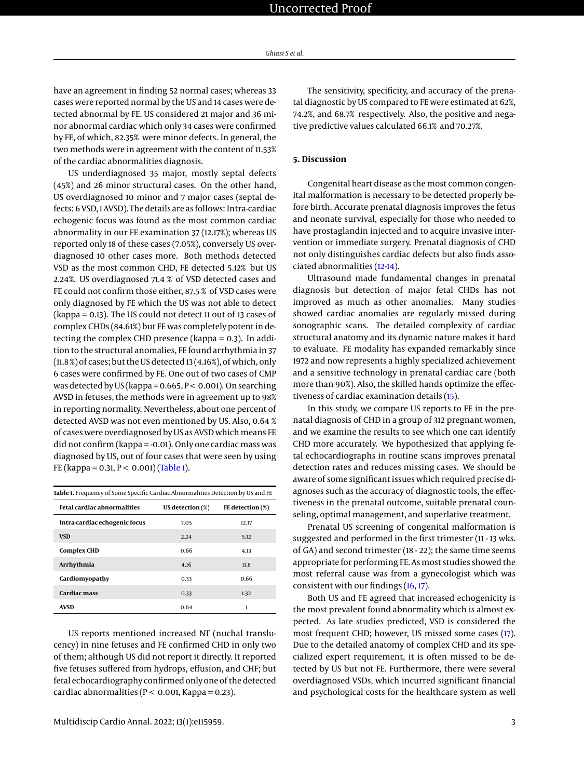have an agreement in finding 52 normal cases; whereas 33 cases were reported normal by the US and 14 cases were detected abnormal by FE. US considered 21 major and 36 minor abnormal cardiac which only 34 cases were confirmed by FE, of which, 82.35% were minor defects. In general, the two methods were in agreement with the content of 11.53% of the cardiac abnormalities diagnosis.

US underdiagnosed 35 major, mostly septal defects (45%) and 26 minor structural cases. On the other hand, US overdiagnosed 10 minor and 7 major cases (septal defects: 6 VSD, 1 AVSD). The details are as follows: Intra-cardiac echogenic focus was found as the most common cardiac abnormality in our FE examination 37 (12.17%); whereas US reported only 18 of these cases (7.05%), conversely US overdiagnosed 10 other cases more. Both methods detected VSD as the most common CHD, FE detected 5.12% but US 2.24%. US overdiagnosed 71.4 % of VSD detected cases and FE could not confirm those either, 87.5 % of VSD cases were only diagnosed by FE which the US was not able to detect (kappa = 0.13). The US could not detect 11 out of 13 cases of complex CHDs (84.61%) but FE was completely potent in detecting the complex CHD presence (kappa = 0.3). In addition to the structural anomalies, FE found arrhythmia in 37 (11.8 %) of cases; but the US detected 13 (4.16%), of which, only 6 cases were confirmed by FE. One out of two cases of CMP was detected by US (kappa =  $0.665$ ,  $P < 0.001$ ). On searching AVSD in fetuses, the methods were in agreement up to 98% in reporting normality. Nevertheless, about one percent of detected AVSD was not even mentioned by US. Also, 0.64 % of cases were overdiagnosed by US as AVSD which means FE did not confirm (kappa = -0.01). Only one cardiac mass was diagnosed by US, out of four cases that were seen by using FE (kappa = 0.31,  $P < 0.001$ ) [\(Table 1\)](#page-2-0).

<span id="page-2-0"></span>

| Table 1. Frequency of Some Specific Cardiac Abnormalities Detection by US and FE |                     |                  |
|----------------------------------------------------------------------------------|---------------------|------------------|
| <b>Fetal cardiac abnormalities</b>                                               | US detection $(\%)$ | FE detection (%) |
| Intra-cardiac echogenic focus                                                    | 7.05                | 12.17            |
| <b>VSD</b>                                                                       | 2.24                | 5.12             |
| <b>Complex CHD</b>                                                               | 0.66                | 4.13             |
| Arrhythmia                                                                       | 4.16                | 11.8             |
| Cardiomyopathy                                                                   | 0.33                | 0.66             |
| <b>Cardiac mass</b>                                                              | 0.33                | 1.32             |
| <b>AVSD</b>                                                                      | 0.64                | 1                |

US reports mentioned increased NT (nuchal translucency) in nine fetuses and FE confirmed CHD in only two of them; although US did not report it directly. It reported five fetuses suffered from hydrops, effusion, and CHF; but fetal echocardiography confirmed only one of the detected cardiac abnormalities ( $P < 0.001$ , Kappa = 0.23).

The sensitivity, specificity, and accuracy of the prenatal diagnostic by US compared to FE were estimated at 62%, 74.2%, and 68.7% respectively. Also, the positive and negative predictive values calculated 66.1% and 70.27%.

## **5. Discussion**

Congenital heart disease as the most common congenital malformation is necessary to be detected properly before birth. Accurate prenatal diagnosis improves the fetus and neonate survival, especially for those who needed to have prostaglandin injected and to acquire invasive intervention or immediate surgery. Prenatal diagnosis of CHD not only distinguishes cardiac defects but also finds associated abnormalities [\(12-](#page-4-6)[14\)](#page-4-7).

Ultrasound made fundamental changes in prenatal diagnosis but detection of major fetal CHDs has not improved as much as other anomalies. Many studies showed cardiac anomalies are regularly missed during sonographic scans. The detailed complexity of cardiac structural anatomy and its dynamic nature makes it hard to evaluate. FE modality has expanded remarkably since 1972 and now represents a highly specialized achievement and a sensitive technology in prenatal cardiac care (both more than 90%). Also, the skilled hands optimize the effectiveness of cardiac examination details [\(15\)](#page-4-8).

In this study, we compare US reports to FE in the prenatal diagnosis of CHD in a group of 312 pregnant women, and we examine the results to see which one can identify CHD more accurately. We hypothesized that applying fetal echocardiographs in routine scans improves prenatal detection rates and reduces missing cases. We should be aware of some significant issues which required precise diagnoses such as the accuracy of diagnostic tools, the effectiveness in the prenatal outcome, suitable prenatal counseling, optimal management, and superlative treatment.

Prenatal US screening of congenital malformation is suggested and performed in the first trimester (11 - 13 wks. of GA) and second trimester (18 - 22); the same time seems appropriate for performing FE. As most studies showed the most referral cause was from a gynecologist which was consistent with our findings [\(16,](#page-4-9) [17\)](#page-4-10).

Both US and FE agreed that increased echogenicity is the most prevalent found abnormality which is almost expected. As late studies predicted, VSD is considered the most frequent CHD; however, US missed some cases [\(17\)](#page-4-10). Due to the detailed anatomy of complex CHD and its specialized expert requirement, it is often missed to be detected by US but not FE. Furthermore, there were several overdiagnosed VSDs, which incurred significant financial and psychological costs for the healthcare system as well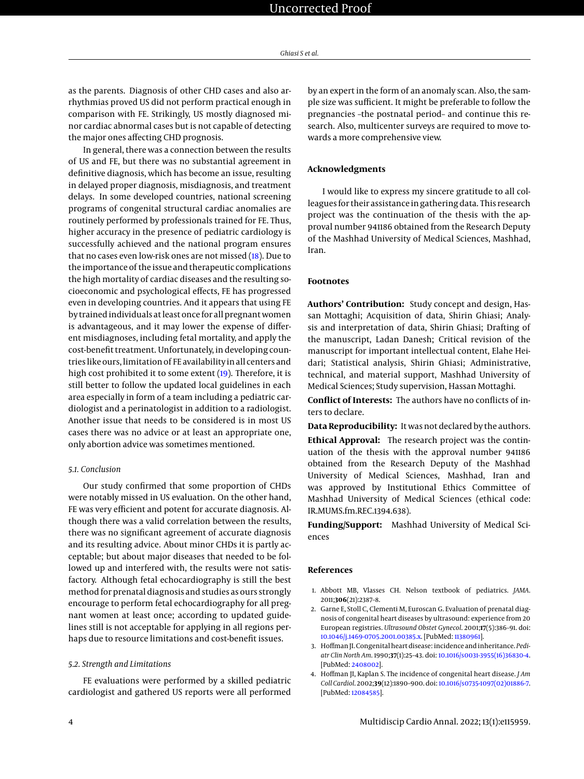as the parents. Diagnosis of other CHD cases and also arrhythmias proved US did not perform practical enough in comparison with FE. Strikingly, US mostly diagnosed minor cardiac abnormal cases but is not capable of detecting the major ones affecting CHD prognosis.

In general, there was a connection between the results of US and FE, but there was no substantial agreement in definitive diagnosis, which has become an issue, resulting in delayed proper diagnosis, misdiagnosis, and treatment delays. In some developed countries, national screening programs of congenital structural cardiac anomalies are routinely performed by professionals trained for FE. Thus, higher accuracy in the presence of pediatric cardiology is successfully achieved and the national program ensures that no cases even low-risk ones are not missed [\(18\)](#page-4-11). Due to the importance of the issue and therapeutic complications the high mortality of cardiac diseases and the resulting socioeconomic and psychological effects, FE has progressed even in developing countries. And it appears that using FE by trained individuals at least once for all pregnant women is advantageous, and it may lower the expense of different misdiagnoses, including fetal mortality, and apply the cost-benefit treatment. Unfortunately, in developing countries like ours, limitation of FE availability in all centers and high cost prohibited it to some extent [\(19\)](#page-4-12). Therefore, it is still better to follow the updated local guidelines in each area especially in form of a team including a pediatric cardiologist and a perinatologist in addition to a radiologist. Another issue that needs to be considered is in most US cases there was no advice or at least an appropriate one, only abortion advice was sometimes mentioned.

### *5.1. Conclusion*

Our study confirmed that some proportion of CHDs were notably missed in US evaluation. On the other hand, FE was very efficient and potent for accurate diagnosis. Although there was a valid correlation between the results, there was no significant agreement of accurate diagnosis and its resulting advice. About minor CHDs it is partly acceptable; but about major diseases that needed to be followed up and interfered with, the results were not satisfactory. Although fetal echocardiography is still the best method for prenatal diagnosis and studies as ours strongly encourage to perform fetal echocardiography for all pregnant women at least once; according to updated guidelines still is not acceptable for applying in all regions perhaps due to resource limitations and cost-benefit issues.

#### *5.2. Strength and Limitations*

FE evaluations were performed by a skilled pediatric cardiologist and gathered US reports were all performed

by an expert in the form of an anomaly scan. Also, the sample size was sufficient. It might be preferable to follow the pregnancies –the postnatal period– and continue this research. Also, multicenter surveys are required to move towards a more comprehensive view.

## **Acknowledgments**

I would like to express my sincere gratitude to all colleagues for their assistance in gathering data. This research project was the continuation of the thesis with the approval number 941186 obtained from the Research Deputy of the Mashhad University of Medical Sciences, Mashhad, Iran.

# **Footnotes**

**Authors' Contribution:** Study concept and design, Hassan Mottaghi; Acquisition of data, Shirin Ghiasi; Analysis and interpretation of data, Shirin Ghiasi; Drafting of the manuscript, Ladan Danesh; Critical revision of the manuscript for important intellectual content, Elahe Heidari; Statistical analysis, Shirin Ghiasi; Administrative, technical, and material support, Mashhad University of Medical Sciences; Study supervision, Hassan Mottaghi.

**Conflict of Interests:** The authors have no conflicts of inters to declare.

**Data Reproducibility:** It was not declared by the authors.

**Ethical Approval:** The research project was the continuation of the thesis with the approval number 941186 obtained from the Research Deputy of the Mashhad University of Medical Sciences, Mashhad, Iran and was approved by Institutional Ethics Committee of Mashhad University of Medical Sciences (ethical code: IR.MUMS.fm.REC.1394.638).

**Funding/Support:** Mashhad University of Medical Sciences

# **References**

- <span id="page-3-0"></span>1. Abbott MB, Vlasses CH. Nelson textbook of pediatrics. *JAMA*. 2011;**306**(21):2387–8.
- 2. Garne E, Stoll C, Clementi M, Euroscan G. Evaluation of prenatal diagnosis of congenital heart diseases by ultrasound: experience from 20 European registries. *Ultrasound Obstet Gynecol*. 2001;**17**(5):386–91. doi: [10.1046/j.1469-0705.2001.00385.x.](http://dx.doi.org/10.1046/j.1469-0705.2001.00385.x) [PubMed: [11380961\]](http://www.ncbi.nlm.nih.gov/pubmed/11380961).
- 3. Hoffman JI. Congenital heart disease: incidence and inheritance. *Pediatr Clin North Am*. 1990;**37**(1):25–43. doi: [10.1016/s0031-3955\(16\)36830-4.](http://dx.doi.org/10.1016/s0031-3955(16)36830-4) [PubMed: [2408002\]](http://www.ncbi.nlm.nih.gov/pubmed/2408002).
- 4. Hoffman JI, Kaplan S. The incidence of congenital heart disease. *J Am Coll Cardiol*. 2002;**39**(12):1890–900. doi: [10.1016/s0735-1097\(02\)01886-7.](http://dx.doi.org/10.1016/s0735-1097(02)01886-7) [PubMed: [12084585\]](http://www.ncbi.nlm.nih.gov/pubmed/12084585).